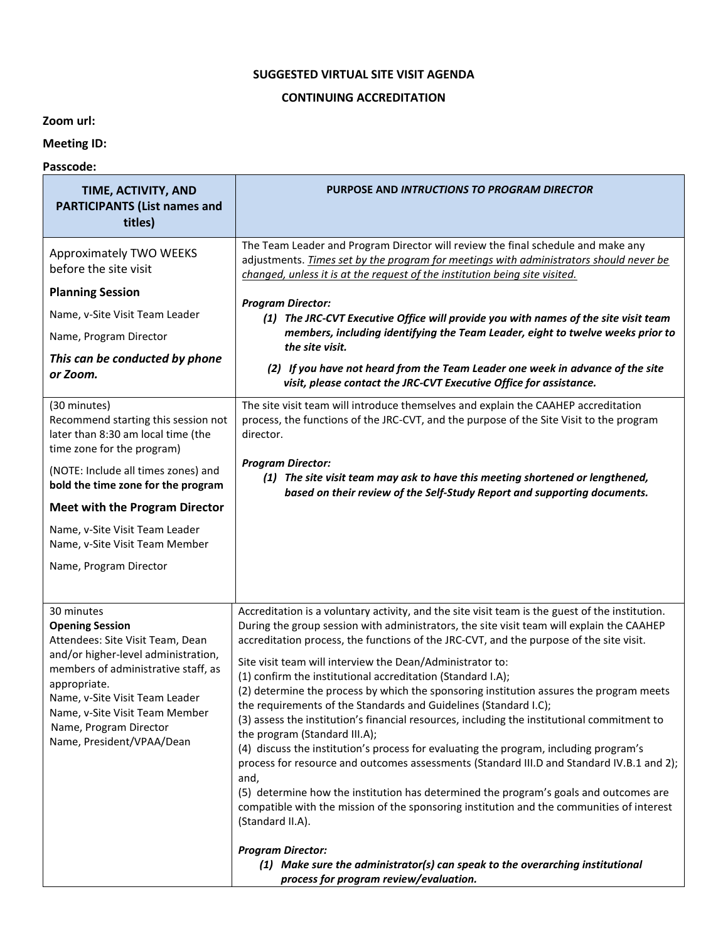## **SUGGESTED VIRTUAL SITE VISIT AGENDA**

## **CONTINUING ACCREDITATION**

**Zoom url:**

**Meeting ID:**

## **Passcode:**

| TIME, ACTIVITY, AND<br><b>PARTICIPANTS (List names and</b><br>titles)                                                                                                                                                                                                                             | PURPOSE AND INTRUCTIONS TO PROGRAM DIRECTOR                                                                                                                                                                                                                                                                                                                                                                                                                                                                                                                                                                                                                                                                                                                                                                                                                                                                                                                                                                                                                                                                                                            |
|---------------------------------------------------------------------------------------------------------------------------------------------------------------------------------------------------------------------------------------------------------------------------------------------------|--------------------------------------------------------------------------------------------------------------------------------------------------------------------------------------------------------------------------------------------------------------------------------------------------------------------------------------------------------------------------------------------------------------------------------------------------------------------------------------------------------------------------------------------------------------------------------------------------------------------------------------------------------------------------------------------------------------------------------------------------------------------------------------------------------------------------------------------------------------------------------------------------------------------------------------------------------------------------------------------------------------------------------------------------------------------------------------------------------------------------------------------------------|
| Approximately TWO WEEKS<br>before the site visit                                                                                                                                                                                                                                                  | The Team Leader and Program Director will review the final schedule and make any<br>adjustments. Times set by the program for meetings with administrators should never be<br>changed, unless it is at the request of the institution being site visited.                                                                                                                                                                                                                                                                                                                                                                                                                                                                                                                                                                                                                                                                                                                                                                                                                                                                                              |
| <b>Planning Session</b>                                                                                                                                                                                                                                                                           | <b>Program Director:</b>                                                                                                                                                                                                                                                                                                                                                                                                                                                                                                                                                                                                                                                                                                                                                                                                                                                                                                                                                                                                                                                                                                                               |
| Name, v-Site Visit Team Leader                                                                                                                                                                                                                                                                    | (1) The JRC-CVT Executive Office will provide you with names of the site visit team                                                                                                                                                                                                                                                                                                                                                                                                                                                                                                                                                                                                                                                                                                                                                                                                                                                                                                                                                                                                                                                                    |
| Name, Program Director                                                                                                                                                                                                                                                                            | members, including identifying the Team Leader, eight to twelve weeks prior to<br>the site visit.                                                                                                                                                                                                                                                                                                                                                                                                                                                                                                                                                                                                                                                                                                                                                                                                                                                                                                                                                                                                                                                      |
| This can be conducted by phone<br>or Zoom.                                                                                                                                                                                                                                                        | (2) If you have not heard from the Team Leader one week in advance of the site<br>visit, please contact the JRC-CVT Executive Office for assistance.                                                                                                                                                                                                                                                                                                                                                                                                                                                                                                                                                                                                                                                                                                                                                                                                                                                                                                                                                                                                   |
| (30 minutes)<br>Recommend starting this session not<br>later than 8:30 am local time (the<br>time zone for the program)                                                                                                                                                                           | The site visit team will introduce themselves and explain the CAAHEP accreditation<br>process, the functions of the JRC-CVT, and the purpose of the Site Visit to the program<br>director.                                                                                                                                                                                                                                                                                                                                                                                                                                                                                                                                                                                                                                                                                                                                                                                                                                                                                                                                                             |
| (NOTE: Include all times zones) and<br>bold the time zone for the program                                                                                                                                                                                                                         | <b>Program Director:</b><br>(1) The site visit team may ask to have this meeting shortened or lengthened,<br>based on their review of the Self-Study Report and supporting documents.                                                                                                                                                                                                                                                                                                                                                                                                                                                                                                                                                                                                                                                                                                                                                                                                                                                                                                                                                                  |
| <b>Meet with the Program Director</b>                                                                                                                                                                                                                                                             |                                                                                                                                                                                                                                                                                                                                                                                                                                                                                                                                                                                                                                                                                                                                                                                                                                                                                                                                                                                                                                                                                                                                                        |
| Name, v-Site Visit Team Leader<br>Name, v-Site Visit Team Member                                                                                                                                                                                                                                  |                                                                                                                                                                                                                                                                                                                                                                                                                                                                                                                                                                                                                                                                                                                                                                                                                                                                                                                                                                                                                                                                                                                                                        |
| Name, Program Director                                                                                                                                                                                                                                                                            |                                                                                                                                                                                                                                                                                                                                                                                                                                                                                                                                                                                                                                                                                                                                                                                                                                                                                                                                                                                                                                                                                                                                                        |
| 30 minutes<br><b>Opening Session</b><br>Attendees: Site Visit Team, Dean<br>and/or higher-level administration,<br>members of administrative staff, as<br>appropriate.<br>Name, v-Site Visit Team Leader<br>Name, v-Site Visit Team Member<br>Name, Program Director<br>Name, President/VPAA/Dean | Accreditation is a voluntary activity, and the site visit team is the guest of the institution.<br>During the group session with administrators, the site visit team will explain the CAAHEP<br>accreditation process, the functions of the JRC-CVT, and the purpose of the site visit.<br>Site visit team will interview the Dean/Administrator to:<br>(1) confirm the institutional accreditation (Standard I.A);<br>(2) determine the process by which the sponsoring institution assures the program meets<br>the requirements of the Standards and Guidelines (Standard I.C);<br>(3) assess the institution's financial resources, including the institutional commitment to<br>the program (Standard III.A);<br>(4) discuss the institution's process for evaluating the program, including program's<br>process for resource and outcomes assessments (Standard III.D and Standard IV.B.1 and 2);<br>and,<br>(5) determine how the institution has determined the program's goals and outcomes are<br>compatible with the mission of the sponsoring institution and the communities of interest<br>(Standard II.A).<br><b>Program Director:</b> |
|                                                                                                                                                                                                                                                                                                   | (1) Make sure the administrator(s) can speak to the overarching institutional<br>process for program review/evaluation.                                                                                                                                                                                                                                                                                                                                                                                                                                                                                                                                                                                                                                                                                                                                                                                                                                                                                                                                                                                                                                |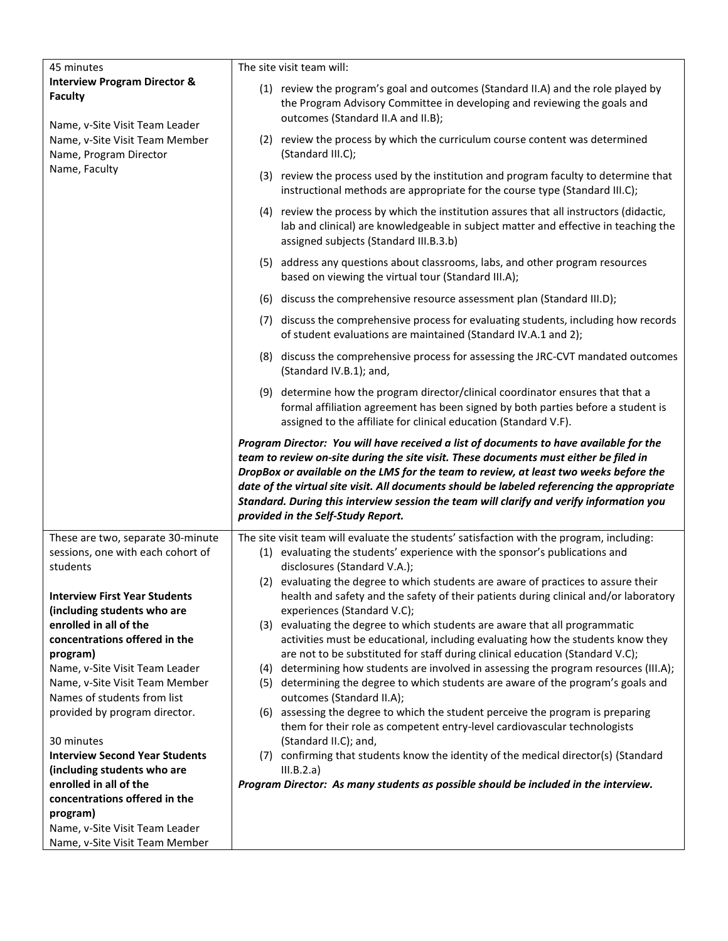| <b>Interview Program Director &amp;</b><br>(1) review the program's goal and outcomes (Standard II.A) and the role played by<br><b>Faculty</b><br>the Program Advisory Committee in developing and reviewing the goals and<br>outcomes (Standard II.A and II.B);<br>Name, v-Site Visit Team Leader<br>(2) review the process by which the curriculum course content was determined<br>Name, v-Site Visit Team Member<br>(Standard III.C);<br>Name, Program Director<br>Name, Faculty<br>(3) review the process used by the institution and program faculty to determine that<br>instructional methods are appropriate for the course type (Standard III.C);<br>(4) review the process by which the institution assures that all instructors (didactic,<br>lab and clinical) are knowledgeable in subject matter and effective in teaching the<br>assigned subjects (Standard III.B.3.b)<br>(5) address any questions about classrooms, labs, and other program resources<br>based on viewing the virtual tour (Standard III.A);<br>(6) discuss the comprehensive resource assessment plan (Standard III.D);<br>(7) discuss the comprehensive process for evaluating students, including how records<br>of student evaluations are maintained (Standard IV.A.1 and 2);<br>(8) discuss the comprehensive process for assessing the JRC-CVT mandated outcomes<br>(Standard IV.B.1); and,<br>(9) determine how the program director/clinical coordinator ensures that that a<br>formal affiliation agreement has been signed by both parties before a student is<br>assigned to the affiliate for clinical education (Standard V.F).<br>Program Director: You will have received a list of documents to have available for the<br>team to review on-site during the site visit. These documents must either be filed in<br>DropBox or available on the LMS for the team to review, at least two weeks before the<br>date of the virtual site visit. All documents should be labeled referencing the appropriate<br>Standard. During this interview session the team will clarify and verify information you<br>provided in the Self-Study Report.<br>These are two, separate 30-minute<br>The site visit team will evaluate the students' satisfaction with the program, including:<br>(1) evaluating the students' experience with the sponsor's publications and<br>sessions, one with each cohort of<br>students<br>disclosures (Standard V.A.);<br>(2) evaluating the degree to which students are aware of practices to assure their<br><b>Interview First Year Students</b><br>health and safety and the safety of their patients during clinical and/or laboratory<br>experiences (Standard V.C);<br>(including students who are<br>enrolled in all of the<br>(3) evaluating the degree to which students are aware that all programmatic<br>concentrations offered in the<br>activities must be educational, including evaluating how the students know they<br>are not to be substituted for staff during clinical education (Standard V.C);<br>program)<br>determining how students are involved in assessing the program resources (III.A);<br>Name, v-Site Visit Team Leader<br>(4)<br>(5) determining the degree to which students are aware of the program's goals and<br>Name, v-Site Visit Team Member<br>Names of students from list<br>outcomes (Standard II.A);<br>provided by program director.<br>(6) assessing the degree to which the student perceive the program is preparing<br>them for their role as competent entry-level cardiovascular technologists<br>(Standard II.C); and,<br>30 minutes<br><b>Interview Second Year Students</b><br>(7) confirming that students know the identity of the medical director(s) (Standard<br>(including students who are<br>III.B.2.a)<br>enrolled in all of the<br>Program Director: As many students as possible should be included in the interview.<br>concentrations offered in the<br>program)<br>Name, v-Site Visit Team Leader | 45 minutes |  | The site visit team will: |  |
|-----------------------------------------------------------------------------------------------------------------------------------------------------------------------------------------------------------------------------------------------------------------------------------------------------------------------------------------------------------------------------------------------------------------------------------------------------------------------------------------------------------------------------------------------------------------------------------------------------------------------------------------------------------------------------------------------------------------------------------------------------------------------------------------------------------------------------------------------------------------------------------------------------------------------------------------------------------------------------------------------------------------------------------------------------------------------------------------------------------------------------------------------------------------------------------------------------------------------------------------------------------------------------------------------------------------------------------------------------------------------------------------------------------------------------------------------------------------------------------------------------------------------------------------------------------------------------------------------------------------------------------------------------------------------------------------------------------------------------------------------------------------------------------------------------------------------------------------------------------------------------------------------------------------------------------------------------------------------------------------------------------------------------------------------------------------------------------------------------------------------------------------------------------------------------------------------------------------------------------------------------------------------------------------------------------------------------------------------------------------------------------------------------------------------------------------------------------------------------------------------------------------------------------------------------------------------------------------------------------------------------------------------------------------------------------------------------------------------------------------------------------------------------------------------------------------------------------------------------------------------------------------------------------------------------------------------------------------------------------------------------------------------------------------------------------------------------------------------------------------------------------------------------------------------------------------------------------------------------------------------------------------------------------------------------------------------------------------------------------------------------------------------------------------------------------------------------------------------------------------------------------------------------------------------------------------------------------------------------------------------------------------------------------------------------------------------------------------------------------------------------------------------------------------------------------------------------------------------------------------------------------------------------------------------------------------------------------------------------------------------------|------------|--|---------------------------|--|
|                                                                                                                                                                                                                                                                                                                                                                                                                                                                                                                                                                                                                                                                                                                                                                                                                                                                                                                                                                                                                                                                                                                                                                                                                                                                                                                                                                                                                                                                                                                                                                                                                                                                                                                                                                                                                                                                                                                                                                                                                                                                                                                                                                                                                                                                                                                                                                                                                                                                                                                                                                                                                                                                                                                                                                                                                                                                                                                                                                                                                                                                                                                                                                                                                                                                                                                                                                                                                                                                                                                                                                                                                                                                                                                                                                                                                                                                                                                                                                                                     |            |  |                           |  |
|                                                                                                                                                                                                                                                                                                                                                                                                                                                                                                                                                                                                                                                                                                                                                                                                                                                                                                                                                                                                                                                                                                                                                                                                                                                                                                                                                                                                                                                                                                                                                                                                                                                                                                                                                                                                                                                                                                                                                                                                                                                                                                                                                                                                                                                                                                                                                                                                                                                                                                                                                                                                                                                                                                                                                                                                                                                                                                                                                                                                                                                                                                                                                                                                                                                                                                                                                                                                                                                                                                                                                                                                                                                                                                                                                                                                                                                                                                                                                                                                     |            |  |                           |  |
|                                                                                                                                                                                                                                                                                                                                                                                                                                                                                                                                                                                                                                                                                                                                                                                                                                                                                                                                                                                                                                                                                                                                                                                                                                                                                                                                                                                                                                                                                                                                                                                                                                                                                                                                                                                                                                                                                                                                                                                                                                                                                                                                                                                                                                                                                                                                                                                                                                                                                                                                                                                                                                                                                                                                                                                                                                                                                                                                                                                                                                                                                                                                                                                                                                                                                                                                                                                                                                                                                                                                                                                                                                                                                                                                                                                                                                                                                                                                                                                                     |            |  |                           |  |
|                                                                                                                                                                                                                                                                                                                                                                                                                                                                                                                                                                                                                                                                                                                                                                                                                                                                                                                                                                                                                                                                                                                                                                                                                                                                                                                                                                                                                                                                                                                                                                                                                                                                                                                                                                                                                                                                                                                                                                                                                                                                                                                                                                                                                                                                                                                                                                                                                                                                                                                                                                                                                                                                                                                                                                                                                                                                                                                                                                                                                                                                                                                                                                                                                                                                                                                                                                                                                                                                                                                                                                                                                                                                                                                                                                                                                                                                                                                                                                                                     |            |  |                           |  |
|                                                                                                                                                                                                                                                                                                                                                                                                                                                                                                                                                                                                                                                                                                                                                                                                                                                                                                                                                                                                                                                                                                                                                                                                                                                                                                                                                                                                                                                                                                                                                                                                                                                                                                                                                                                                                                                                                                                                                                                                                                                                                                                                                                                                                                                                                                                                                                                                                                                                                                                                                                                                                                                                                                                                                                                                                                                                                                                                                                                                                                                                                                                                                                                                                                                                                                                                                                                                                                                                                                                                                                                                                                                                                                                                                                                                                                                                                                                                                                                                     |            |  |                           |  |
|                                                                                                                                                                                                                                                                                                                                                                                                                                                                                                                                                                                                                                                                                                                                                                                                                                                                                                                                                                                                                                                                                                                                                                                                                                                                                                                                                                                                                                                                                                                                                                                                                                                                                                                                                                                                                                                                                                                                                                                                                                                                                                                                                                                                                                                                                                                                                                                                                                                                                                                                                                                                                                                                                                                                                                                                                                                                                                                                                                                                                                                                                                                                                                                                                                                                                                                                                                                                                                                                                                                                                                                                                                                                                                                                                                                                                                                                                                                                                                                                     |            |  |                           |  |
|                                                                                                                                                                                                                                                                                                                                                                                                                                                                                                                                                                                                                                                                                                                                                                                                                                                                                                                                                                                                                                                                                                                                                                                                                                                                                                                                                                                                                                                                                                                                                                                                                                                                                                                                                                                                                                                                                                                                                                                                                                                                                                                                                                                                                                                                                                                                                                                                                                                                                                                                                                                                                                                                                                                                                                                                                                                                                                                                                                                                                                                                                                                                                                                                                                                                                                                                                                                                                                                                                                                                                                                                                                                                                                                                                                                                                                                                                                                                                                                                     |            |  |                           |  |
|                                                                                                                                                                                                                                                                                                                                                                                                                                                                                                                                                                                                                                                                                                                                                                                                                                                                                                                                                                                                                                                                                                                                                                                                                                                                                                                                                                                                                                                                                                                                                                                                                                                                                                                                                                                                                                                                                                                                                                                                                                                                                                                                                                                                                                                                                                                                                                                                                                                                                                                                                                                                                                                                                                                                                                                                                                                                                                                                                                                                                                                                                                                                                                                                                                                                                                                                                                                                                                                                                                                                                                                                                                                                                                                                                                                                                                                                                                                                                                                                     |            |  |                           |  |
|                                                                                                                                                                                                                                                                                                                                                                                                                                                                                                                                                                                                                                                                                                                                                                                                                                                                                                                                                                                                                                                                                                                                                                                                                                                                                                                                                                                                                                                                                                                                                                                                                                                                                                                                                                                                                                                                                                                                                                                                                                                                                                                                                                                                                                                                                                                                                                                                                                                                                                                                                                                                                                                                                                                                                                                                                                                                                                                                                                                                                                                                                                                                                                                                                                                                                                                                                                                                                                                                                                                                                                                                                                                                                                                                                                                                                                                                                                                                                                                                     |            |  |                           |  |
|                                                                                                                                                                                                                                                                                                                                                                                                                                                                                                                                                                                                                                                                                                                                                                                                                                                                                                                                                                                                                                                                                                                                                                                                                                                                                                                                                                                                                                                                                                                                                                                                                                                                                                                                                                                                                                                                                                                                                                                                                                                                                                                                                                                                                                                                                                                                                                                                                                                                                                                                                                                                                                                                                                                                                                                                                                                                                                                                                                                                                                                                                                                                                                                                                                                                                                                                                                                                                                                                                                                                                                                                                                                                                                                                                                                                                                                                                                                                                                                                     |            |  |                           |  |
|                                                                                                                                                                                                                                                                                                                                                                                                                                                                                                                                                                                                                                                                                                                                                                                                                                                                                                                                                                                                                                                                                                                                                                                                                                                                                                                                                                                                                                                                                                                                                                                                                                                                                                                                                                                                                                                                                                                                                                                                                                                                                                                                                                                                                                                                                                                                                                                                                                                                                                                                                                                                                                                                                                                                                                                                                                                                                                                                                                                                                                                                                                                                                                                                                                                                                                                                                                                                                                                                                                                                                                                                                                                                                                                                                                                                                                                                                                                                                                                                     |            |  |                           |  |
|                                                                                                                                                                                                                                                                                                                                                                                                                                                                                                                                                                                                                                                                                                                                                                                                                                                                                                                                                                                                                                                                                                                                                                                                                                                                                                                                                                                                                                                                                                                                                                                                                                                                                                                                                                                                                                                                                                                                                                                                                                                                                                                                                                                                                                                                                                                                                                                                                                                                                                                                                                                                                                                                                                                                                                                                                                                                                                                                                                                                                                                                                                                                                                                                                                                                                                                                                                                                                                                                                                                                                                                                                                                                                                                                                                                                                                                                                                                                                                                                     |            |  |                           |  |
|                                                                                                                                                                                                                                                                                                                                                                                                                                                                                                                                                                                                                                                                                                                                                                                                                                                                                                                                                                                                                                                                                                                                                                                                                                                                                                                                                                                                                                                                                                                                                                                                                                                                                                                                                                                                                                                                                                                                                                                                                                                                                                                                                                                                                                                                                                                                                                                                                                                                                                                                                                                                                                                                                                                                                                                                                                                                                                                                                                                                                                                                                                                                                                                                                                                                                                                                                                                                                                                                                                                                                                                                                                                                                                                                                                                                                                                                                                                                                                                                     |            |  |                           |  |
|                                                                                                                                                                                                                                                                                                                                                                                                                                                                                                                                                                                                                                                                                                                                                                                                                                                                                                                                                                                                                                                                                                                                                                                                                                                                                                                                                                                                                                                                                                                                                                                                                                                                                                                                                                                                                                                                                                                                                                                                                                                                                                                                                                                                                                                                                                                                                                                                                                                                                                                                                                                                                                                                                                                                                                                                                                                                                                                                                                                                                                                                                                                                                                                                                                                                                                                                                                                                                                                                                                                                                                                                                                                                                                                                                                                                                                                                                                                                                                                                     |            |  |                           |  |
|                                                                                                                                                                                                                                                                                                                                                                                                                                                                                                                                                                                                                                                                                                                                                                                                                                                                                                                                                                                                                                                                                                                                                                                                                                                                                                                                                                                                                                                                                                                                                                                                                                                                                                                                                                                                                                                                                                                                                                                                                                                                                                                                                                                                                                                                                                                                                                                                                                                                                                                                                                                                                                                                                                                                                                                                                                                                                                                                                                                                                                                                                                                                                                                                                                                                                                                                                                                                                                                                                                                                                                                                                                                                                                                                                                                                                                                                                                                                                                                                     |            |  |                           |  |
|                                                                                                                                                                                                                                                                                                                                                                                                                                                                                                                                                                                                                                                                                                                                                                                                                                                                                                                                                                                                                                                                                                                                                                                                                                                                                                                                                                                                                                                                                                                                                                                                                                                                                                                                                                                                                                                                                                                                                                                                                                                                                                                                                                                                                                                                                                                                                                                                                                                                                                                                                                                                                                                                                                                                                                                                                                                                                                                                                                                                                                                                                                                                                                                                                                                                                                                                                                                                                                                                                                                                                                                                                                                                                                                                                                                                                                                                                                                                                                                                     |            |  |                           |  |
|                                                                                                                                                                                                                                                                                                                                                                                                                                                                                                                                                                                                                                                                                                                                                                                                                                                                                                                                                                                                                                                                                                                                                                                                                                                                                                                                                                                                                                                                                                                                                                                                                                                                                                                                                                                                                                                                                                                                                                                                                                                                                                                                                                                                                                                                                                                                                                                                                                                                                                                                                                                                                                                                                                                                                                                                                                                                                                                                                                                                                                                                                                                                                                                                                                                                                                                                                                                                                                                                                                                                                                                                                                                                                                                                                                                                                                                                                                                                                                                                     |            |  |                           |  |
|                                                                                                                                                                                                                                                                                                                                                                                                                                                                                                                                                                                                                                                                                                                                                                                                                                                                                                                                                                                                                                                                                                                                                                                                                                                                                                                                                                                                                                                                                                                                                                                                                                                                                                                                                                                                                                                                                                                                                                                                                                                                                                                                                                                                                                                                                                                                                                                                                                                                                                                                                                                                                                                                                                                                                                                                                                                                                                                                                                                                                                                                                                                                                                                                                                                                                                                                                                                                                                                                                                                                                                                                                                                                                                                                                                                                                                                                                                                                                                                                     |            |  |                           |  |
|                                                                                                                                                                                                                                                                                                                                                                                                                                                                                                                                                                                                                                                                                                                                                                                                                                                                                                                                                                                                                                                                                                                                                                                                                                                                                                                                                                                                                                                                                                                                                                                                                                                                                                                                                                                                                                                                                                                                                                                                                                                                                                                                                                                                                                                                                                                                                                                                                                                                                                                                                                                                                                                                                                                                                                                                                                                                                                                                                                                                                                                                                                                                                                                                                                                                                                                                                                                                                                                                                                                                                                                                                                                                                                                                                                                                                                                                                                                                                                                                     |            |  |                           |  |
|                                                                                                                                                                                                                                                                                                                                                                                                                                                                                                                                                                                                                                                                                                                                                                                                                                                                                                                                                                                                                                                                                                                                                                                                                                                                                                                                                                                                                                                                                                                                                                                                                                                                                                                                                                                                                                                                                                                                                                                                                                                                                                                                                                                                                                                                                                                                                                                                                                                                                                                                                                                                                                                                                                                                                                                                                                                                                                                                                                                                                                                                                                                                                                                                                                                                                                                                                                                                                                                                                                                                                                                                                                                                                                                                                                                                                                                                                                                                                                                                     |            |  |                           |  |
|                                                                                                                                                                                                                                                                                                                                                                                                                                                                                                                                                                                                                                                                                                                                                                                                                                                                                                                                                                                                                                                                                                                                                                                                                                                                                                                                                                                                                                                                                                                                                                                                                                                                                                                                                                                                                                                                                                                                                                                                                                                                                                                                                                                                                                                                                                                                                                                                                                                                                                                                                                                                                                                                                                                                                                                                                                                                                                                                                                                                                                                                                                                                                                                                                                                                                                                                                                                                                                                                                                                                                                                                                                                                                                                                                                                                                                                                                                                                                                                                     |            |  |                           |  |
|                                                                                                                                                                                                                                                                                                                                                                                                                                                                                                                                                                                                                                                                                                                                                                                                                                                                                                                                                                                                                                                                                                                                                                                                                                                                                                                                                                                                                                                                                                                                                                                                                                                                                                                                                                                                                                                                                                                                                                                                                                                                                                                                                                                                                                                                                                                                                                                                                                                                                                                                                                                                                                                                                                                                                                                                                                                                                                                                                                                                                                                                                                                                                                                                                                                                                                                                                                                                                                                                                                                                                                                                                                                                                                                                                                                                                                                                                                                                                                                                     |            |  |                           |  |
|                                                                                                                                                                                                                                                                                                                                                                                                                                                                                                                                                                                                                                                                                                                                                                                                                                                                                                                                                                                                                                                                                                                                                                                                                                                                                                                                                                                                                                                                                                                                                                                                                                                                                                                                                                                                                                                                                                                                                                                                                                                                                                                                                                                                                                                                                                                                                                                                                                                                                                                                                                                                                                                                                                                                                                                                                                                                                                                                                                                                                                                                                                                                                                                                                                                                                                                                                                                                                                                                                                                                                                                                                                                                                                                                                                                                                                                                                                                                                                                                     |            |  |                           |  |
|                                                                                                                                                                                                                                                                                                                                                                                                                                                                                                                                                                                                                                                                                                                                                                                                                                                                                                                                                                                                                                                                                                                                                                                                                                                                                                                                                                                                                                                                                                                                                                                                                                                                                                                                                                                                                                                                                                                                                                                                                                                                                                                                                                                                                                                                                                                                                                                                                                                                                                                                                                                                                                                                                                                                                                                                                                                                                                                                                                                                                                                                                                                                                                                                                                                                                                                                                                                                                                                                                                                                                                                                                                                                                                                                                                                                                                                                                                                                                                                                     |            |  |                           |  |
|                                                                                                                                                                                                                                                                                                                                                                                                                                                                                                                                                                                                                                                                                                                                                                                                                                                                                                                                                                                                                                                                                                                                                                                                                                                                                                                                                                                                                                                                                                                                                                                                                                                                                                                                                                                                                                                                                                                                                                                                                                                                                                                                                                                                                                                                                                                                                                                                                                                                                                                                                                                                                                                                                                                                                                                                                                                                                                                                                                                                                                                                                                                                                                                                                                                                                                                                                                                                                                                                                                                                                                                                                                                                                                                                                                                                                                                                                                                                                                                                     |            |  |                           |  |
|                                                                                                                                                                                                                                                                                                                                                                                                                                                                                                                                                                                                                                                                                                                                                                                                                                                                                                                                                                                                                                                                                                                                                                                                                                                                                                                                                                                                                                                                                                                                                                                                                                                                                                                                                                                                                                                                                                                                                                                                                                                                                                                                                                                                                                                                                                                                                                                                                                                                                                                                                                                                                                                                                                                                                                                                                                                                                                                                                                                                                                                                                                                                                                                                                                                                                                                                                                                                                                                                                                                                                                                                                                                                                                                                                                                                                                                                                                                                                                                                     |            |  |                           |  |
|                                                                                                                                                                                                                                                                                                                                                                                                                                                                                                                                                                                                                                                                                                                                                                                                                                                                                                                                                                                                                                                                                                                                                                                                                                                                                                                                                                                                                                                                                                                                                                                                                                                                                                                                                                                                                                                                                                                                                                                                                                                                                                                                                                                                                                                                                                                                                                                                                                                                                                                                                                                                                                                                                                                                                                                                                                                                                                                                                                                                                                                                                                                                                                                                                                                                                                                                                                                                                                                                                                                                                                                                                                                                                                                                                                                                                                                                                                                                                                                                     |            |  |                           |  |
|                                                                                                                                                                                                                                                                                                                                                                                                                                                                                                                                                                                                                                                                                                                                                                                                                                                                                                                                                                                                                                                                                                                                                                                                                                                                                                                                                                                                                                                                                                                                                                                                                                                                                                                                                                                                                                                                                                                                                                                                                                                                                                                                                                                                                                                                                                                                                                                                                                                                                                                                                                                                                                                                                                                                                                                                                                                                                                                                                                                                                                                                                                                                                                                                                                                                                                                                                                                                                                                                                                                                                                                                                                                                                                                                                                                                                                                                                                                                                                                                     |            |  |                           |  |
|                                                                                                                                                                                                                                                                                                                                                                                                                                                                                                                                                                                                                                                                                                                                                                                                                                                                                                                                                                                                                                                                                                                                                                                                                                                                                                                                                                                                                                                                                                                                                                                                                                                                                                                                                                                                                                                                                                                                                                                                                                                                                                                                                                                                                                                                                                                                                                                                                                                                                                                                                                                                                                                                                                                                                                                                                                                                                                                                                                                                                                                                                                                                                                                                                                                                                                                                                                                                                                                                                                                                                                                                                                                                                                                                                                                                                                                                                                                                                                                                     |            |  |                           |  |
|                                                                                                                                                                                                                                                                                                                                                                                                                                                                                                                                                                                                                                                                                                                                                                                                                                                                                                                                                                                                                                                                                                                                                                                                                                                                                                                                                                                                                                                                                                                                                                                                                                                                                                                                                                                                                                                                                                                                                                                                                                                                                                                                                                                                                                                                                                                                                                                                                                                                                                                                                                                                                                                                                                                                                                                                                                                                                                                                                                                                                                                                                                                                                                                                                                                                                                                                                                                                                                                                                                                                                                                                                                                                                                                                                                                                                                                                                                                                                                                                     |            |  |                           |  |
|                                                                                                                                                                                                                                                                                                                                                                                                                                                                                                                                                                                                                                                                                                                                                                                                                                                                                                                                                                                                                                                                                                                                                                                                                                                                                                                                                                                                                                                                                                                                                                                                                                                                                                                                                                                                                                                                                                                                                                                                                                                                                                                                                                                                                                                                                                                                                                                                                                                                                                                                                                                                                                                                                                                                                                                                                                                                                                                                                                                                                                                                                                                                                                                                                                                                                                                                                                                                                                                                                                                                                                                                                                                                                                                                                                                                                                                                                                                                                                                                     |            |  |                           |  |
|                                                                                                                                                                                                                                                                                                                                                                                                                                                                                                                                                                                                                                                                                                                                                                                                                                                                                                                                                                                                                                                                                                                                                                                                                                                                                                                                                                                                                                                                                                                                                                                                                                                                                                                                                                                                                                                                                                                                                                                                                                                                                                                                                                                                                                                                                                                                                                                                                                                                                                                                                                                                                                                                                                                                                                                                                                                                                                                                                                                                                                                                                                                                                                                                                                                                                                                                                                                                                                                                                                                                                                                                                                                                                                                                                                                                                                                                                                                                                                                                     |            |  |                           |  |
|                                                                                                                                                                                                                                                                                                                                                                                                                                                                                                                                                                                                                                                                                                                                                                                                                                                                                                                                                                                                                                                                                                                                                                                                                                                                                                                                                                                                                                                                                                                                                                                                                                                                                                                                                                                                                                                                                                                                                                                                                                                                                                                                                                                                                                                                                                                                                                                                                                                                                                                                                                                                                                                                                                                                                                                                                                                                                                                                                                                                                                                                                                                                                                                                                                                                                                                                                                                                                                                                                                                                                                                                                                                                                                                                                                                                                                                                                                                                                                                                     |            |  |                           |  |
| Name, v-Site Visit Team Member                                                                                                                                                                                                                                                                                                                                                                                                                                                                                                                                                                                                                                                                                                                                                                                                                                                                                                                                                                                                                                                                                                                                                                                                                                                                                                                                                                                                                                                                                                                                                                                                                                                                                                                                                                                                                                                                                                                                                                                                                                                                                                                                                                                                                                                                                                                                                                                                                                                                                                                                                                                                                                                                                                                                                                                                                                                                                                                                                                                                                                                                                                                                                                                                                                                                                                                                                                                                                                                                                                                                                                                                                                                                                                                                                                                                                                                                                                                                                                      |            |  |                           |  |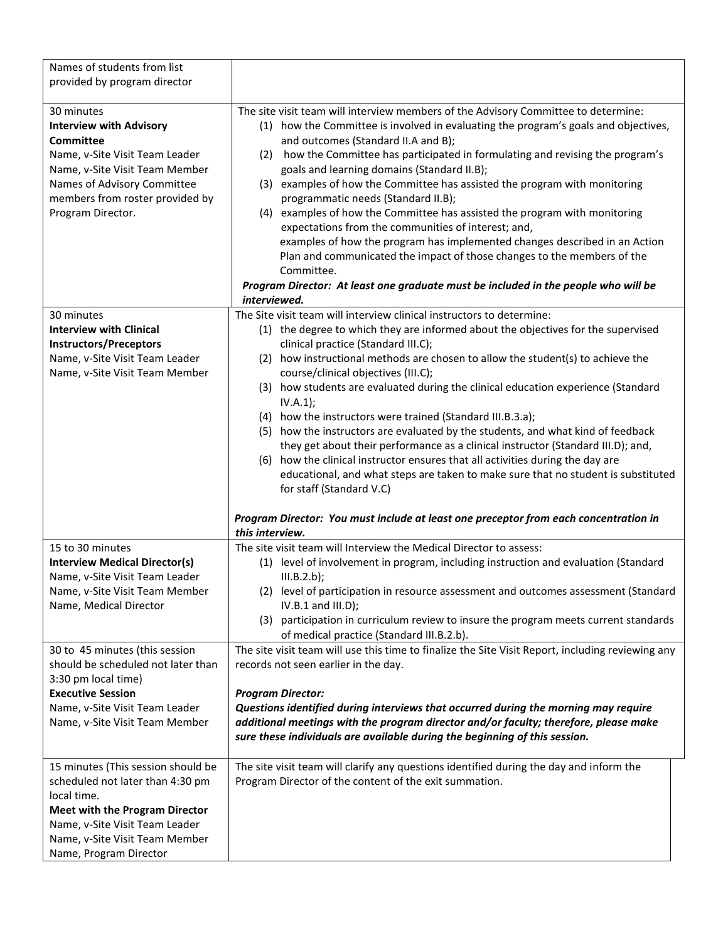| Names of students from list<br>provided by program director                                                                                                                                                                  |                                                                                                                                                                                                                                                                                                                                                                                                                                                                                                                                                                                                                                                                                                                                                                                                                                                                                                                                                               |
|------------------------------------------------------------------------------------------------------------------------------------------------------------------------------------------------------------------------------|---------------------------------------------------------------------------------------------------------------------------------------------------------------------------------------------------------------------------------------------------------------------------------------------------------------------------------------------------------------------------------------------------------------------------------------------------------------------------------------------------------------------------------------------------------------------------------------------------------------------------------------------------------------------------------------------------------------------------------------------------------------------------------------------------------------------------------------------------------------------------------------------------------------------------------------------------------------|
| 30 minutes<br><b>Interview with Advisory</b><br><b>Committee</b><br>Name, v-Site Visit Team Leader<br>Name, v-Site Visit Team Member<br>Names of Advisory Committee<br>members from roster provided by<br>Program Director.  | The site visit team will interview members of the Advisory Committee to determine:<br>(1) how the Committee is involved in evaluating the program's goals and objectives,<br>and outcomes (Standard II.A and B);<br>how the Committee has participated in formulating and revising the program's<br>(2)<br>goals and learning domains (Standard II.B);<br>examples of how the Committee has assisted the program with monitoring<br>(3)<br>programmatic needs (Standard II.B);<br>examples of how the Committee has assisted the program with monitoring<br>(4)<br>expectations from the communities of interest; and,<br>examples of how the program has implemented changes described in an Action<br>Plan and communicated the impact of those changes to the members of the<br>Committee.<br>Program Director: At least one graduate must be included in the people who will be<br>interviewed.                                                           |
| 30 minutes<br><b>Interview with Clinical</b><br><b>Instructors/Preceptors</b><br>Name, v-Site Visit Team Leader<br>Name, v-Site Visit Team Member                                                                            | The Site visit team will interview clinical instructors to determine:<br>(1) the degree to which they are informed about the objectives for the supervised<br>clinical practice (Standard III.C);<br>(2) how instructional methods are chosen to allow the student(s) to achieve the<br>course/clinical objectives (III.C);<br>(3) how students are evaluated during the clinical education experience (Standard<br>IV.A.1);<br>(4) how the instructors were trained (Standard III.B.3.a);<br>(5) how the instructors are evaluated by the students, and what kind of feedback<br>they get about their performance as a clinical instructor (Standard III.D); and,<br>(6) how the clinical instructor ensures that all activities during the day are<br>educational, and what steps are taken to make sure that no student is substituted<br>for staff (Standard V.C)<br>Program Director: You must include at least one preceptor from each concentration in |
|                                                                                                                                                                                                                              | this interview.                                                                                                                                                                                                                                                                                                                                                                                                                                                                                                                                                                                                                                                                                                                                                                                                                                                                                                                                               |
| 15 to 30 minutes<br><b>Interview Medical Director(s)</b><br>Name, v-Site Visit Team Leader<br>Name, v-Site Visit Team Member<br>Name, Medical Director                                                                       | The site visit team will Interview the Medical Director to assess:<br>(1) level of involvement in program, including instruction and evaluation (Standard<br>III.B.2.b);<br>(2) level of participation in resource assessment and outcomes assessment (Standard<br>$IV.B.1$ and $III.D$ );<br>(3) participation in curriculum review to insure the program meets current standards<br>of medical practice (Standard III.B.2.b).                                                                                                                                                                                                                                                                                                                                                                                                                                                                                                                               |
| 30 to 45 minutes (this session<br>should be scheduled not later than<br>3:30 pm local time)<br><b>Executive Session</b><br>Name, v-Site Visit Team Leader<br>Name, v-Site Visit Team Member                                  | The site visit team will use this time to finalize the Site Visit Report, including reviewing any<br>records not seen earlier in the day.<br><b>Program Director:</b><br>Questions identified during interviews that occurred during the morning may require<br>additional meetings with the program director and/or faculty; therefore, please make<br>sure these individuals are available during the beginning of this session.                                                                                                                                                                                                                                                                                                                                                                                                                                                                                                                            |
| 15 minutes (This session should be<br>scheduled not later than 4:30 pm<br>local time.<br><b>Meet with the Program Director</b><br>Name, v-Site Visit Team Leader<br>Name, v-Site Visit Team Member<br>Name, Program Director | The site visit team will clarify any questions identified during the day and inform the<br>Program Director of the content of the exit summation.                                                                                                                                                                                                                                                                                                                                                                                                                                                                                                                                                                                                                                                                                                                                                                                                             |